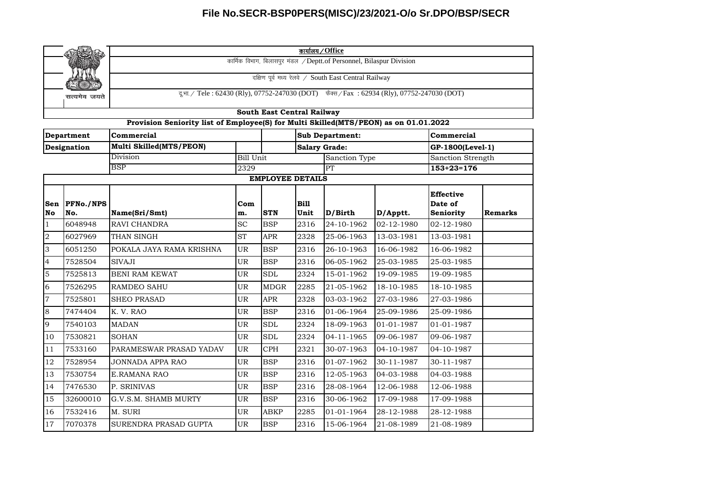|                |                   | कार्यालय / Office                                                                           |                  |                            |      |                      |            |                   |         |  |  |  |
|----------------|-------------------|---------------------------------------------------------------------------------------------|------------------|----------------------------|------|----------------------|------------|-------------------|---------|--|--|--|
|                |                   | कार्मिक विभाग, बिलासपुर मंडल /Deptt.of Personnel, Bilaspur Division                         |                  |                            |      |                      |            |                   |         |  |  |  |
|                |                   | दक्षिण पूर्व मध्य रेलवे / South East Central Railway                                        |                  |                            |      |                      |            |                   |         |  |  |  |
|                |                   |                                                                                             |                  |                            |      |                      |            |                   |         |  |  |  |
|                | सत्यमेव जयते      | दू.भा. / Tele: 62430 (Rly), 07752-247030 (DOT) फैक्स / Fax: 62934 (Rly), 07752-247030 (DOT) |                  |                            |      |                      |            |                   |         |  |  |  |
|                |                   |                                                                                             |                  | South East Central Railway |      |                      |            |                   |         |  |  |  |
|                |                   | Provision Seniority list of Employee(S) for Multi Skilled(MTS/PEON) as on 01.01.2022        |                  |                            |      |                      |            |                   |         |  |  |  |
|                | <b>Department</b> | Commercial                                                                                  |                  |                            |      | Sub Department:      |            | Commercial        |         |  |  |  |
|                | Designation       | Multi Skilled(MTS/PEON)                                                                     |                  |                            |      | <b>Salary Grade:</b> |            | GP-1800(Level-1)  |         |  |  |  |
|                |                   | Division                                                                                    | <b>Bill Unit</b> |                            |      | Sanction Type        |            | Sanction Strength |         |  |  |  |
|                |                   | <b>BSP</b>                                                                                  | 2329             |                            |      | PT                   |            | $153+23=176$      |         |  |  |  |
|                |                   |                                                                                             |                  | <b>EMPLOYEE DETAILS</b>    |      |                      |            |                   |         |  |  |  |
|                |                   |                                                                                             |                  |                            |      |                      |            | <b>Effective</b>  |         |  |  |  |
| Sen            | <b>PFNo./NPS</b>  |                                                                                             | Com              |                            | Bill |                      |            | Date of           |         |  |  |  |
| No             | No.               | Name(Sri/Smt)                                                                               | m.               | <b>STN</b>                 | Unit | D/Birth              | D/Apptt.   | Seniority         | Remarks |  |  |  |
| $\mathbf{1}$   | 6048948           | <b>RAVI CHANDRA</b>                                                                         | <b>SC</b>        | <b>BSP</b>                 | 2316 | 24-10-1962           | 02-12-1980 | 02-12-1980        |         |  |  |  |
| $\overline{a}$ | 6027969           | THAN SINGH                                                                                  | <b>ST</b>        | <b>APR</b>                 | 2328 | 25-06-1963           | 13-03-1981 | 13-03-1981        |         |  |  |  |
| $\overline{3}$ | 6051250           | POKALA JAYA RAMA KRISHNA                                                                    | <b>UR</b>        | <b>BSP</b>                 | 2316 | 26-10-1963           | 16-06-1982 | 16-06-1982        |         |  |  |  |
| $\overline{4}$ | 7528504           | <b>SIVAJI</b>                                                                               | UR.              | <b>BSP</b>                 | 2316 | 06-05-1962           | 25-03-1985 | 25-03-1985        |         |  |  |  |
| 5              | 7525813           | <b>BENI RAM KEWAT</b>                                                                       | <b>UR</b>        | <b>SDL</b>                 | 2324 | 15-01-1962           | 19-09-1985 | 19-09-1985        |         |  |  |  |
| 6              | 7526295           | <b>RAMDEO SAHU</b>                                                                          | UR               | <b>MDGR</b>                | 2285 | 21-05-1962           | 18-10-1985 | 18-10-1985        |         |  |  |  |
| $\overline{7}$ | 7525801           | <b>SHEO PRASAD</b>                                                                          | <b>UR</b>        | <b>APR</b>                 | 2328 | 03-03-1962           | 27-03-1986 | 27-03-1986        |         |  |  |  |
| 8              | 7474404           | K. V. RAO                                                                                   | <b>UR</b>        | <b>BSP</b>                 | 2316 | 01-06-1964           | 25-09-1986 | 25-09-1986        |         |  |  |  |
| 9              | 7540103           | <b>MADAN</b>                                                                                | <b>UR</b>        | <b>SDL</b>                 | 2324 | 18-09-1963           | 01-01-1987 | 01-01-1987        |         |  |  |  |
| 10             | 7530821           | <b>SOHAN</b>                                                                                | <b>UR</b>        | <b>SDL</b>                 | 2324 | 04-11-1965           | 09-06-1987 | 09-06-1987        |         |  |  |  |
| 11             | 7533160           | PARAMESWAR PRASAD YADAV                                                                     | <b>UR</b>        | <b>CPH</b>                 | 2321 | 30-07-1963           | 04-10-1987 | 04-10-1987        |         |  |  |  |
| 12             | 7528954           | <b>JONNADA APPA RAO</b>                                                                     | <b>UR</b>        | <b>BSP</b>                 | 2316 | 01-07-1962           | 30-11-1987 | 30-11-1987        |         |  |  |  |
| 13             | 7530754           | <b>E.RAMANA RAO</b>                                                                         | <b>UR</b>        | <b>BSP</b>                 | 2316 | 12-05-1963           | 04-03-1988 | 04-03-1988        |         |  |  |  |
| 14             | 7476530           | P. SRINIVAS                                                                                 | UR               | <b>BSP</b>                 | 2316 | 28-08-1964           | 12-06-1988 | 12-06-1988        |         |  |  |  |
| 15             | 32600010          | G.V.S.M. SHAMB MURTY                                                                        | UR               | <b>BSP</b>                 | 2316 | 30-06-1962           | 17-09-1988 | 17-09-1988        |         |  |  |  |
| 16             | 7532416           | M. SURI                                                                                     | <b>UR</b>        | <b>ABKP</b>                | 2285 | 01-01-1964           | 28-12-1988 | 28-12-1988        |         |  |  |  |
| 17             | 7070378           | SURENDRA PRASAD GUPTA                                                                       | <b>UR</b>        | <b>BSP</b>                 | 2316 | 15-06-1964           | 21-08-1989 | 21-08-1989        |         |  |  |  |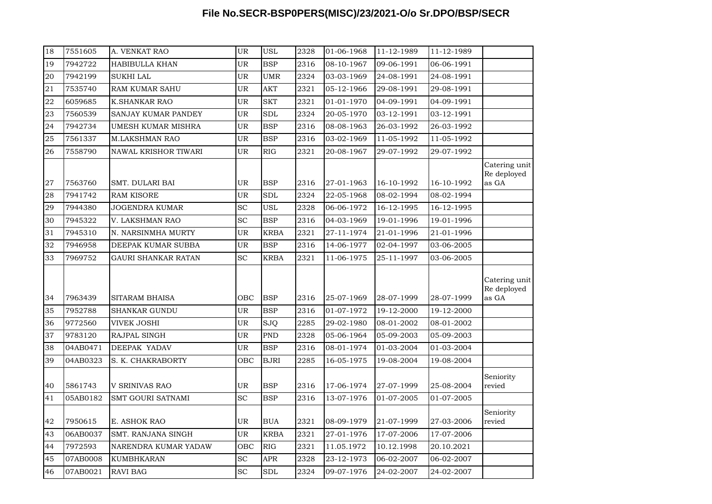| 18 | 7551605  | A. VENKAT RAO            | UR        | <b>USL</b>    | 2328 | 01-06-1968 | 11-12-1989 | 11-12-1989 |                                       |
|----|----------|--------------------------|-----------|---------------|------|------------|------------|------------|---------------------------------------|
| 19 | 7942722  | HABIBULLA KHAN           | UR        | <b>BSP</b>    | 2316 | 08-10-1967 | 09-06-1991 | 06-06-1991 |                                       |
| 20 | 7942199  | <b>SUKHI LAL</b>         | UR        | <b>UMR</b>    | 2324 | 03-03-1969 | 24-08-1991 | 24-08-1991 |                                       |
| 21 | 7535740  | <b>RAM KUMAR SAHU</b>    | UR        | <b>AKT</b>    | 2321 | 05-12-1966 | 29-08-1991 | 29-08-1991 |                                       |
| 22 | 6059685  | K.SHANKAR RAO            | UR        | <b>SKT</b>    | 2321 | 01-01-1970 | 04-09-1991 | 04-09-1991 |                                       |
| 23 | 7560539  | SANJAY KUMAR PANDEY      | <b>UR</b> | <b>SDL</b>    | 2324 | 20-05-1970 | 03-12-1991 | 03-12-1991 |                                       |
| 24 | 7942734  | UMESH KUMAR MISHRA       | <b>UR</b> | <b>BSP</b>    | 2316 | 08-08-1963 | 26-03-1992 | 26-03-1992 |                                       |
| 25 | 7561337  | M.LAKSHMAN RAO           | UR        | <b>BSP</b>    | 2316 | 03-02-1969 | 11-05-1992 | 11-05-1992 |                                       |
| 26 | 7558790  | NAWAL KRISHOR TIWARI     | UR        | $_{\rm{RIG}}$ | 2321 | 20-08-1967 | 29-07-1992 | 29-07-1992 |                                       |
| 27 | 7563760  | SMT. DULARI BAI          | UR        | <b>BSP</b>    | 2316 | 27-01-1963 | 16-10-1992 | 16-10-1992 | Catering unit<br>Re deployed<br>as GA |
| 28 | 7941742  | <b>RAM KISORE</b>        | UR        | <b>SDL</b>    | 2324 | 22-05-1968 | 08-02-1994 | 08-02-1994 |                                       |
| 29 | 7944380  | <b>JOGENDRA KUMAR</b>    | <b>SC</b> | <b>USL</b>    | 2328 | 06-06-1972 | 16-12-1995 | 16-12-1995 |                                       |
| 30 | 7945322  | V. LAKSHMAN RAO          | <b>SC</b> | <b>BSP</b>    | 2316 | 04-03-1969 | 19-01-1996 | 19-01-1996 |                                       |
| 31 | 7945310  | N. NARSINMHA MURTY       | <b>UR</b> | <b>KRBA</b>   | 2321 | 27-11-1974 | 21-01-1996 | 21-01-1996 |                                       |
| 32 | 7946958  | DEEPAK KUMAR SUBBA       | UR        | <b>BSP</b>    | 2316 | 14-06-1977 | 02-04-1997 | 03-06-2005 |                                       |
| 33 | 7969752  | GAURI SHANKAR RATAN      | <b>SC</b> | <b>KRBA</b>   | 2321 | 11-06-1975 | 25-11-1997 | 03-06-2005 |                                       |
| 34 | 7963439  | SITARAM BHAISA           | OBC       | <b>BSP</b>    | 2316 | 25-07-1969 | 28-07-1999 | 28-07-1999 | Catering unit<br>Re deployed<br>as GA |
| 35 | 7952788  | <b>SHANKAR GUNDU</b>     | UR        | <b>BSP</b>    | 2316 | 01-07-1972 | 19-12-2000 | 19-12-2000 |                                       |
| 36 | 9772560  | <b>VIVEK JOSHI</b>       | UR        | <b>SJQ</b>    | 2285 | 29-02-1980 | 08-01-2002 | 08-01-2002 |                                       |
| 37 | 9783120  | RAJPAL SINGH             | UR        | <b>PND</b>    | 2328 | 05-06-1964 | 05-09-2003 | 05-09-2003 |                                       |
| 38 | 04AB0471 | DEEPAK YADAV             | UR        | <b>BSP</b>    | 2316 | 08-01-1974 | 01-03-2004 | 01-03-2004 |                                       |
| 39 | 04AB0323 | S. K. CHAKRABORTY        | OBC       | <b>BJRI</b>   | 2285 | 16-05-1975 | 19-08-2004 | 19-08-2004 |                                       |
| 40 | 5861743  | V SRINIVAS RAO           | UR        | <b>BSP</b>    | 2316 | 17-06-1974 | 27-07-1999 | 25-08-2004 | Seniority<br>revied                   |
| 41 | 05AB0182 | <b>SMT GOURI SATNAMI</b> | <b>SC</b> | <b>BSP</b>    | 2316 | 13-07-1976 | 01-07-2005 | 01-07-2005 |                                       |
| 42 | 7950615  | E. ASHOK RAO             | <b>UR</b> | <b>BUA</b>    | 2321 | 08-09-1979 | 21-07-1999 | 27-03-2006 | Seniority<br>revied                   |
| 43 | 06AB0037 | SMT. RANJANA SINGH       | UR        | <b>KRBA</b>   | 2321 | 27-01-1976 | 17-07-2006 | 17-07-2006 |                                       |
| 44 | 7972593  | NARENDRA KUMAR YADAW     | OBC       | RIG           | 2321 | 11.05.1972 | 10.12.1998 | 20.10.2021 |                                       |
| 45 | 07AB0008 | <b>KUMBHKARAN</b>        | <b>SC</b> | <b>APR</b>    | 2328 | 23-12-1973 | 06-02-2007 | 06-02-2007 |                                       |
| 46 | 07AB0021 | <b>RAVI BAG</b>          | <b>SC</b> | <b>SDL</b>    | 2324 | 09-07-1976 | 24-02-2007 | 24-02-2007 |                                       |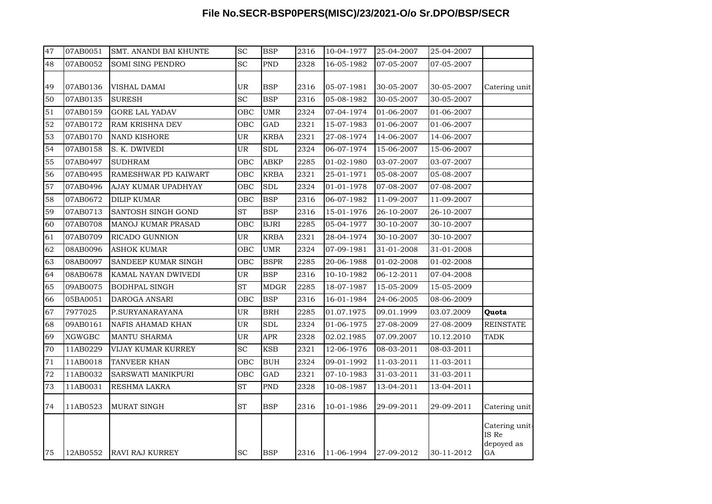| 47 | 07AB0051      | SMT. ANANDI BAI KHUNTE | <b>SC</b> | <b>BSP</b>           | 2316 | 10-04-1977 | 25-04-2007 | 25-04-2007 |                                             |
|----|---------------|------------------------|-----------|----------------------|------|------------|------------|------------|---------------------------------------------|
| 48 | 07AB0052      | SOMI SING PENDRO       | <b>SC</b> | <b>PND</b>           | 2328 | 16-05-1982 | 07-05-2007 | 07-05-2007 |                                             |
| 49 | 07AB0136      | VISHAL DAMAI           | UR        | <b>BSP</b>           | 2316 | 05-07-1981 | 30-05-2007 | 30-05-2007 | Catering unit                               |
| 50 | 07AB0135      | <b>SURESH</b>          | <b>SC</b> | <b>BSP</b>           | 2316 | 05-08-1982 | 30-05-2007 | 30-05-2007 |                                             |
| 51 | 07AB0159      | GORE LAL YADAV         | ОВС       | <b>UMR</b>           | 2324 | 07-04-1974 | 01-06-2007 | 01-06-2007 |                                             |
| 52 | 07AB0172      | RAM KRISHNA DEV        | OBC       | <b>GAD</b>           | 2321 | 15-07-1983 | 01-06-2007 | 01-06-2007 |                                             |
| 53 | 07AB0170      | <b>NAND KISHORE</b>    | UR        | <b>KRBA</b>          | 2321 | 27-08-1974 | 14-06-2007 | 14-06-2007 |                                             |
| 54 | 07AB0158      | S. K. DWIVEDI          | UR        | $\operatorname{SDL}$ | 2324 | 06-07-1974 | 15-06-2007 | 15-06-2007 |                                             |
| 55 | 07AB0497      | <b>SUDHRAM</b>         | OBC       | <b>ABKP</b>          | 2285 | 01-02-1980 | 03-07-2007 | 03-07-2007 |                                             |
| 56 | 07AB0495      | RAMESHWAR PD KAIWART   | OBC       | <b>KRBA</b>          | 2321 | 25-01-1971 | 05-08-2007 | 05-08-2007 |                                             |
| 57 | 07AB0496      | AJAY KUMAR UPADHYAY    | OBC       | $\operatorname{SDL}$ | 2324 | 01-01-1978 | 07-08-2007 | 07-08-2007 |                                             |
| 58 | 07AB0672      | <b>DILIP KUMAR</b>     | OBC       | <b>BSP</b>           | 2316 | 06-07-1982 | 11-09-2007 | 11-09-2007 |                                             |
| 59 | 07AB0713      | SANTOSH SINGH GOND     | ST        | <b>BSP</b>           | 2316 | 15-01-1976 | 26-10-2007 | 26-10-2007 |                                             |
| 60 | 07AB0708      | MANOJ KUMAR PRASAD     | OBC       | <b>BJRI</b>          | 2285 | 05-04-1977 | 30-10-2007 | 30-10-2007 |                                             |
| 61 | 07AB0709      | RICADO GUNNION         | UR        | <b>KRBA</b>          | 2321 | 28-04-1974 | 30-10-2007 | 30-10-2007 |                                             |
| 62 | 08AB0096      | <b>ASHOK KUMAR</b>     | OBC       | <b>UMR</b>           | 2324 | 07-09-1981 | 31-01-2008 | 31-01-2008 |                                             |
| 63 | 08AB0097      | SANDEEP KUMAR SINGH    | OBC       | <b>BSPR</b>          | 2285 | 20-06-1988 | 01-02-2008 | 01-02-2008 |                                             |
| 64 | 08AB0678      | KAMAL NAYAN DWIVEDI    | UR        | <b>BSP</b>           | 2316 | 10-10-1982 | 06-12-2011 | 07-04-2008 |                                             |
| 65 | 09AB0075      | <b>BODHPAL SINGH</b>   | <b>ST</b> | <b>MDGR</b>          | 2285 | 18-07-1987 | 15-05-2009 | 15-05-2009 |                                             |
| 66 | 05BA0051      | DAROGA ANSARI          | OBC       | <b>BSP</b>           | 2316 | 16-01-1984 | 24-06-2005 | 08-06-2009 |                                             |
| 67 | 7977025       | P.SURYANARAYANA        | UR        | <b>BRH</b>           | 2285 | 01.07.1975 | 09.01.1999 | 03.07.2009 | Quota                                       |
| 68 | 09AB0161      | NAFIS AHAMAD KHAN      | UR        | <b>SDL</b>           | 2324 | 01-06-1975 | 27-08-2009 | 27-08-2009 | <b>REINSTATE</b>                            |
| 69 | <b>XGWGBC</b> | <b>MANTU SHARMA</b>    | UR        | APR                  | 2328 | 02.02.1985 | 07.09.2007 | 10.12.2010 | <b>TADK</b>                                 |
| 70 | 11AB0229      | VIJAY KUMAR KURREY     | <b>SC</b> | <b>KSB</b>           | 2321 | 12-06-1976 | 08-03-2011 | 08-03-2011 |                                             |
| 71 | 11AB0018      | TANVEER KHAN           | OBC       | <b>BUH</b>           | 2324 | 09-01-1992 | 11-03-2011 | 11-03-2011 |                                             |
| 72 | 11AB0032      | SARSWATI MANIKPURI     | OBC       | <b>GAD</b>           | 2321 | 07-10-1983 | 31-03-2011 | 31-03-2011 |                                             |
| 73 | 11AB0031      | RESHMA LAKRA           | <b>ST</b> | <b>PND</b>           | 2328 | 10-08-1987 | 13-04-2011 | 13-04-2011 |                                             |
| 74 | 11AB0523      | <b>MURAT SINGH</b>     | ST        | <b>BSP</b>           | 2316 | 10-01-1986 | 29-09-2011 | 29-09-2011 | Catering unit                               |
| 75 | 12AB0552      | <b>RAVI RAJ KURREY</b> | SC        | <b>BSP</b>           | 2316 | 11-06-1994 | 27-09-2012 | 30-11-2012 | Catering unit-<br>IS Re<br>depoyed as<br>GA |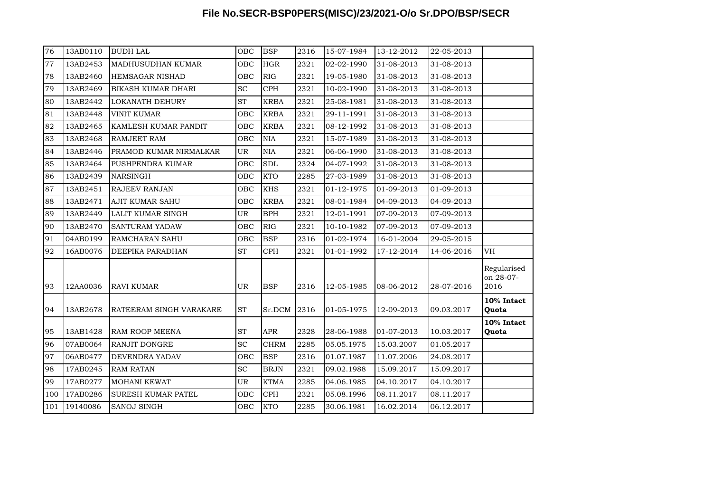| 76  | 13AB0110 | <b>BUDH LAL</b>           | OBC                 | <b>BSP</b>  | 2316 | 15-07-1984 | 13-12-2012 | 22-05-2013 |                                  |
|-----|----------|---------------------------|---------------------|-------------|------|------------|------------|------------|----------------------------------|
| 77  | 13AB2453 | MADHUSUDHAN KUMAR         | OBC                 | HGR         | 2321 | 02-02-1990 | 31-08-2013 | 31-08-2013 |                                  |
| 78  | 13AB2460 | <b>HEMSAGAR NISHAD</b>    | OBC                 | RIG         | 2321 | 19-05-1980 | 31-08-2013 | 31-08-2013 |                                  |
| 79  | 13AB2469 | <b>BIKASH KUMAR DHARI</b> | <b>SC</b>           | CPH         | 2321 | 10-02-1990 | 31-08-2013 | 31-08-2013 |                                  |
| 80  | 13AB2442 | <b>LOKANATH DEHURY</b>    | ST                  | <b>KRBA</b> | 2321 | 25-08-1981 | 31-08-2013 | 31-08-2013 |                                  |
| 81  | 13AB2448 | <b>VINIT KUMAR</b>        | OBC                 | <b>KRBA</b> | 2321 | 29-11-1991 | 31-08-2013 | 31-08-2013 |                                  |
| 82  | 13AB2465 | KAMLESH KUMAR PANDIT      | OBC                 | <b>KRBA</b> | 2321 | 08-12-1992 | 31-08-2013 | 31-08-2013 |                                  |
| 83  | 13AB2468 | <b>RAMJEET RAM</b>        | OBC                 | <b>NIA</b>  | 2321 | 15-07-1989 | 31-08-2013 | 31-08-2013 |                                  |
| 84  | 13AB2446 | PRAMOD KUMAR NIRMALKAR    | UR                  | <b>NIA</b>  | 2321 | 06-06-1990 | 31-08-2013 | 31-08-2013 |                                  |
| 85  | 13AB2464 | PUSHPENDRA KUMAR          | OBC                 | <b>SDL</b>  | 2324 | 04-07-1992 | 31-08-2013 | 31-08-2013 |                                  |
| 86  | 13AB2439 | <b>NARSINGH</b>           | OBC                 | <b>KTO</b>  | 2285 | 27-03-1989 | 31-08-2013 | 31-08-2013 |                                  |
| 87  | 13AB2451 | <b>RAJEEV RANJAN</b>      | OBC                 | <b>KHS</b>  | 2321 | 01-12-1975 | 01-09-2013 | 01-09-2013 |                                  |
| 88  | 13AB2471 | <b>AJIT KUMAR SAHU</b>    | OBC                 | <b>KRBA</b> | 2321 | 08-01-1984 | 04-09-2013 | 04-09-2013 |                                  |
| 89  | 13AB2449 | LALIT KUMAR SINGH         | UR                  | <b>BPH</b>  | 2321 | 12-01-1991 | 07-09-2013 | 07-09-2013 |                                  |
| 90  | 13AB2470 | SANTURAM YADAW            | OBC                 | RIG         | 2321 | 10-10-1982 | 07-09-2013 | 07-09-2013 |                                  |
| 91  | 04AB0199 | RAMCHARAN SAHU            | OBC                 | <b>BSP</b>  | 2316 | 01-02-1974 | 16-01-2004 | 29-05-2015 |                                  |
| 92  | 16AB0076 | DEEPIKA PARADHAN          | ST                  | <b>CPH</b>  | 2321 | 01-01-1992 | 17-12-2014 | 14-06-2016 | VH                               |
| 93  | 12AA0036 | <b>RAVI KUMAR</b>         | <b>UR</b>           | <b>BSP</b>  | 2316 | 12-05-1985 | 08-06-2012 | 28-07-2016 | Regularised<br>on 28-07-<br>2016 |
| 94  | 13AB2678 | RATEERAM SINGH VARAKARE   | $\operatorname{ST}$ | Sr.DCM      | 2316 | 01-05-1975 | 12-09-2013 | 09.03.2017 | 10% Intact<br>Quota              |
| 95  | 13AB1428 | <b>RAM ROOP MEENA</b>     | <b>ST</b>           | <b>APR</b>  | 2328 | 28-06-1988 | 01-07-2013 | 10.03.2017 | 10% Intact<br>Quota              |
| 96  | 07AB0064 | <b>RANJIT DONGRE</b>      | <b>SC</b>           | <b>CHRM</b> | 2285 | 05.05.1975 | 15.03.2007 | 01.05.2017 |                                  |
| 97  | 06AB0477 | <b>DEVENDRA YADAV</b>     | OBC                 | <b>BSP</b>  | 2316 | 01.07.1987 | 11.07.2006 | 24.08.2017 |                                  |
| 98  | 17AB0245 | <b>RAM RATAN</b>          | SC                  | <b>BRJN</b> | 2321 | 09.02.1988 | 15.09.2017 | 15.09.2017 |                                  |
| 99  | 17AB0277 | <b>MOHANI KEWAT</b>       | UR                  | <b>KTMA</b> | 2285 | 04.06.1985 | 04.10.2017 | 04.10.2017 |                                  |
| 100 | 17AB0286 | SURESH KUMAR PATEL        | OBC                 | <b>CPH</b>  | 2321 | 05.08.1996 | 08.11.2017 | 08.11.2017 |                                  |
| 101 | 19140086 | <b>SANOJ SINGH</b>        | <b>OBC</b>          | <b>KTO</b>  | 2285 | 30.06.1981 | 16.02.2014 | 06.12.2017 |                                  |
|     |          |                           |                     |             |      |            |            |            |                                  |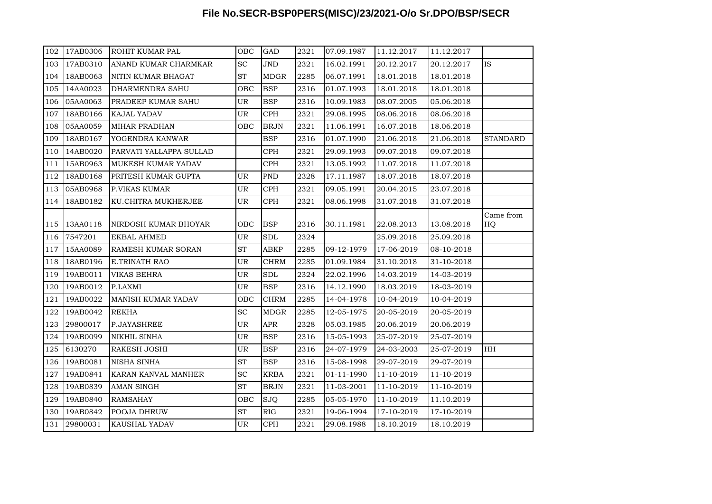| 102 | 17AB0306 | ROHIT KUMAR PAL         | OBC                 | GAD                  | 2321 | 07.09.1987 | 11.12.2017 | 11.12.2017 |                 |
|-----|----------|-------------------------|---------------------|----------------------|------|------------|------------|------------|-----------------|
| 103 | 17AB0310 | ANAND KUMAR CHARMKAR    | <b>SC</b>           | JND                  | 2321 | 16.02.1991 | 20.12.2017 | 20.12.2017 | <b>IS</b>       |
| 104 | 18AB0063 | NITIN KUMAR BHAGAT      | $\operatorname{ST}$ | <b>MDGR</b>          | 2285 | 06.07.1991 | 18.01.2018 | 18.01.2018 |                 |
| 105 | 14AA0023 | DHARMENDRA SAHU         | OBC                 | <b>BSP</b>           | 2316 | 01.07.1993 | 18.01.2018 | 18.01.2018 |                 |
| 106 | 05AA0063 | PRADEEP KUMAR SAHU      | UR                  | <b>BSP</b>           | 2316 | 10.09.1983 | 08.07.2005 | 05.06.2018 |                 |
| 107 | 18AB0166 | KAJAL YADAV             | UR                  | <b>CPH</b>           | 2321 | 29.08.1995 | 08.06.2018 | 08.06.2018 |                 |
| 108 | 05AA0059 | MIHAR PRADHAN           | OBC                 | <b>BRJN</b>          | 2321 | 11.06.1991 | 16.07.2018 | 18.06.2018 |                 |
| 109 | 18AB0167 | YOGENDRA KANWAR         |                     | <b>BSP</b>           | 2316 | 01.07.1990 | 21.06.2018 | 21.06.2018 | <b>STANDARD</b> |
| 110 | 14AB0020 | PARVATI YALLAPPA SULLAD |                     | $\rm{CPH}$           | 2321 | 29.09.1993 | 09.07.2018 | 09.07.2018 |                 |
| 111 | 15AB0963 | MUKESH KUMAR YADAV      |                     | $\rm{CPH}$           | 2321 | 13.05.1992 | 11.07.2018 | 11.07.2018 |                 |
| 112 | 18AB0168 | PRITESH KUMAR GUPTA     | UR                  | PND                  | 2328 | 17.11.1987 | 18.07.2018 | 18.07.2018 |                 |
| 113 | 05AB0968 | P.VIKAS KUMAR           | UR                  | <b>CPH</b>           | 2321 | 09.05.1991 | 20.04.2015 | 23.07.2018 |                 |
| 114 | 18AB0182 | KU.CHITRA MUKHERJEE     | UR                  | CPH                  | 2321 | 08.06.1998 | 31.07.2018 | 31.07.2018 |                 |
| 115 | 13AA0118 | NIRDOSH KUMAR BHOYAR    | OBC                 | <b>BSP</b>           | 2316 | 30.11.1981 | 22.08.2013 | 13.08.2018 | Came from<br>HQ |
| 116 | 7547201  | EKBAL AHMED             | UR                  | $\operatorname{SDL}$ | 2324 |            | 25.09.2018 | 25.09.2018 |                 |
| 117 | 15AA0089 | RAMESH KUMAR SORAN      | ST                  | <b>ABKP</b>          | 2285 | 09-12-1979 | 17-06-2019 | 08-10-2018 |                 |
| 118 | 18AB0196 | E.TRINATH RAO           | UR                  | <b>CHRM</b>          | 2285 | 01.09.1984 | 31.10.2018 | 31-10-2018 |                 |
| 119 | 19AB0011 | <b>VIKAS BEHRA</b>      | UR                  | <b>SDL</b>           | 2324 | 22.02.1996 | 14.03.2019 | 14-03-2019 |                 |
| 120 | 19AB0012 | P.LAXMI                 | UR                  | <b>BSP</b>           | 2316 | 14.12.1990 | 18.03.2019 | 18-03-2019 |                 |
| 121 | 19AB0022 | MANISH KUMAR YADAV      | OBC                 | <b>CHRM</b>          | 2285 | 14-04-1978 | 10-04-2019 | 10-04-2019 |                 |
| 122 | 19AB0042 | <b>REKHA</b>            | SC                  | <b>MDGR</b>          | 2285 | 12-05-1975 | 20-05-2019 | 20-05-2019 |                 |
| 123 | 29800017 | P.JAYASHREE             | UR                  | <b>APR</b>           | 2328 | 05.03.1985 | 20.06.2019 | 20.06.2019 |                 |
| 124 | 19AB0099 | NIKHIL SINHA            | UR                  | <b>BSP</b>           | 2316 | 15-05-1993 | 25-07-2019 | 25-07-2019 |                 |
| 125 | 6130270  | RAKESH JOSHI            | UR                  | <b>BSP</b>           | 2316 | 24-07-1979 | 24-03-2003 | 25-07-2019 | HH              |
| 126 | 19AB0081 | NISHA SINHA             | <b>ST</b>           | <b>BSP</b>           | 2316 | 15-08-1998 | 29-07-2019 | 29-07-2019 |                 |
| 127 | 19AB0841 | KARAN KANVAL MANHER     | SC                  | <b>KRBA</b>          | 2321 | 01-11-1990 | 11-10-2019 | 11-10-2019 |                 |
| 128 | 19AB0839 | AMAN SINGH              | $\operatorname{ST}$ | <b>BRJN</b>          | 2321 | 11-03-2001 | 11-10-2019 | 11-10-2019 |                 |
| 129 | 19AB0840 | <b>RAMSAHAY</b>         | OBC                 | <b>SJQ</b>           | 2285 | 05-05-1970 | 11-10-2019 | 11.10.2019 |                 |
| 130 | 19AB0842 | POOJA DHRUW             | ST                  | RIG                  | 2321 | 19-06-1994 | 17-10-2019 | 17-10-2019 |                 |
| 131 | 29800031 | KAUSHAL YADAV           | UR                  | <b>CPH</b>           | 2321 | 29.08.1988 | 18.10.2019 | 18.10.2019 |                 |